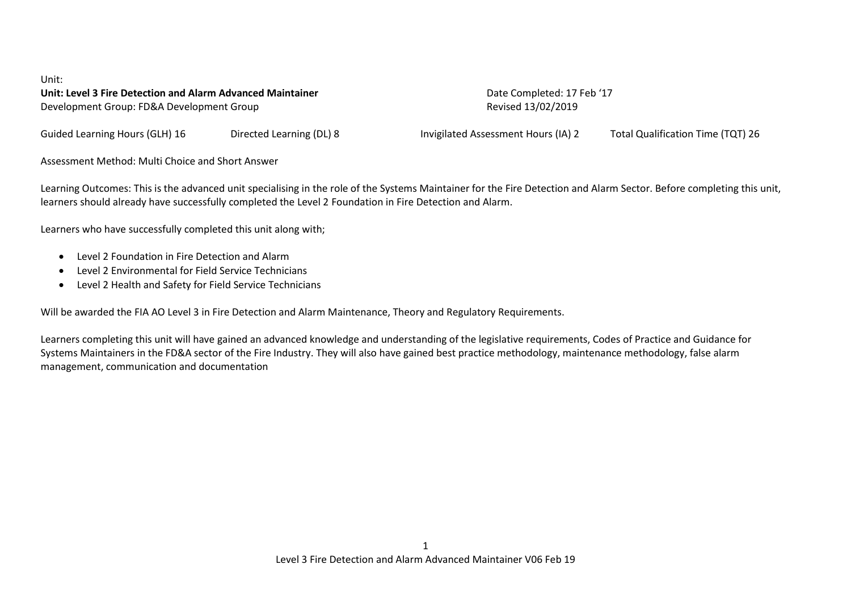## Unit: **Unit: Level 3 Fire Detection and Alarm Advanced Maintainer** Date Completed: 17 Feb '17 Development Group: FD&A Development Group Revised 13/02/2019

Guided Learning Hours (GLH) 16 Directed Learning (DL) 8 Invigilated Assessment Hours (IA) 2 Total Qualification Time (TQT) 26

Assessment Method: Multi Choice and Short Answer

Learning Outcomes: This is the advanced unit specialising in the role of the Systems Maintainer for the Fire Detection and Alarm Sector. Before completing this unit, learners should already have successfully completed the Level 2 Foundation in Fire Detection and Alarm.

Learners who have successfully completed this unit along with;

- Level 2 Foundation in Fire Detection and Alarm
- Level 2 Environmental for Field Service Technicians
- Level 2 Health and Safety for Field Service Technicians

Will be awarded the FIA AO Level 3 in Fire Detection and Alarm Maintenance, Theory and Regulatory Requirements.

Learners completing this unit will have gained an advanced knowledge and understanding of the legislative requirements, Codes of Practice and Guidance for Systems Maintainers in the FD&A sector of the Fire Industry. They will also have gained best practice methodology, maintenance methodology, false alarm management, communication and documentation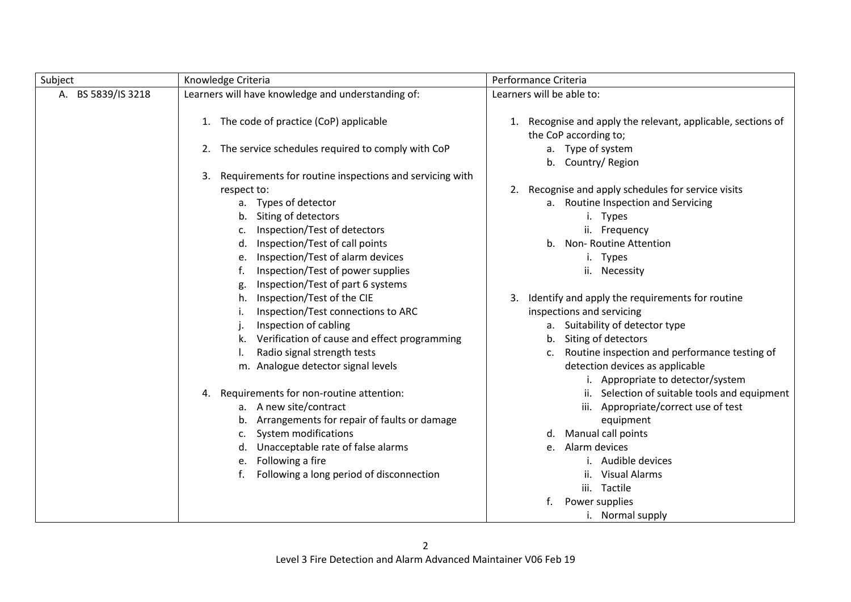| Subject            | Knowledge Criteria                                            | Performance Criteria                                                               |
|--------------------|---------------------------------------------------------------|------------------------------------------------------------------------------------|
| A. BS 5839/IS 3218 | Learners will have knowledge and understanding of:            | Learners will be able to:                                                          |
|                    | 1. The code of practice (CoP) applicable                      | Recognise and apply the relevant, applicable, sections of<br>the CoP according to; |
|                    | The service schedules required to comply with CoP<br>2.       | a. Type of system<br>b. Country/Region                                             |
|                    | Requirements for routine inspections and servicing with<br>3. |                                                                                    |
|                    | respect to:                                                   | Recognise and apply schedules for service visits<br>2.                             |
|                    | a. Types of detector                                          | a. Routine Inspection and Servicing                                                |
|                    | Siting of detectors                                           | i. Types                                                                           |
|                    | Inspection/Test of detectors                                  | ii. Frequency                                                                      |
|                    | Inspection/Test of call points<br>d.                          | b. Non-Routine Attention                                                           |
|                    | Inspection/Test of alarm devices<br>e.                        | i. Types                                                                           |
|                    | Inspection/Test of power supplies                             | ii. Necessity                                                                      |
|                    | Inspection/Test of part 6 systems                             |                                                                                    |
|                    | Inspection/Test of the CIE<br>h.                              | Identify and apply the requirements for routine                                    |
|                    | Inspection/Test connections to ARC                            | inspections and servicing                                                          |
|                    | Inspection of cabling                                         | a. Suitability of detector type                                                    |
|                    | Verification of cause and effect programming                  | b. Siting of detectors                                                             |
|                    | Radio signal strength tests                                   | Routine inspection and performance testing of<br>c.                                |
|                    | m. Analogue detector signal levels                            | detection devices as applicable<br>i. Appropriate to detector/system               |
|                    | Requirements for non-routine attention:<br>4.                 | ii. Selection of suitable tools and equipment                                      |
|                    | a. A new site/contract                                        | iii. Appropriate/correct use of test                                               |
|                    | Arrangements for repair of faults or damage<br>b.             | equipment                                                                          |
|                    | System modifications<br>c.                                    | Manual call points<br>d.                                                           |
|                    | Unacceptable rate of false alarms                             | Alarm devices<br>e.                                                                |
|                    | Following a fire<br>e.                                        | Audible devices                                                                    |
|                    | Following a long period of disconnection<br>f.                | <b>Visual Alarms</b><br>ii.                                                        |
|                    |                                                               | iii. Tactile                                                                       |
|                    |                                                               | Power supplies<br>f.                                                               |
|                    |                                                               | i. Normal supply                                                                   |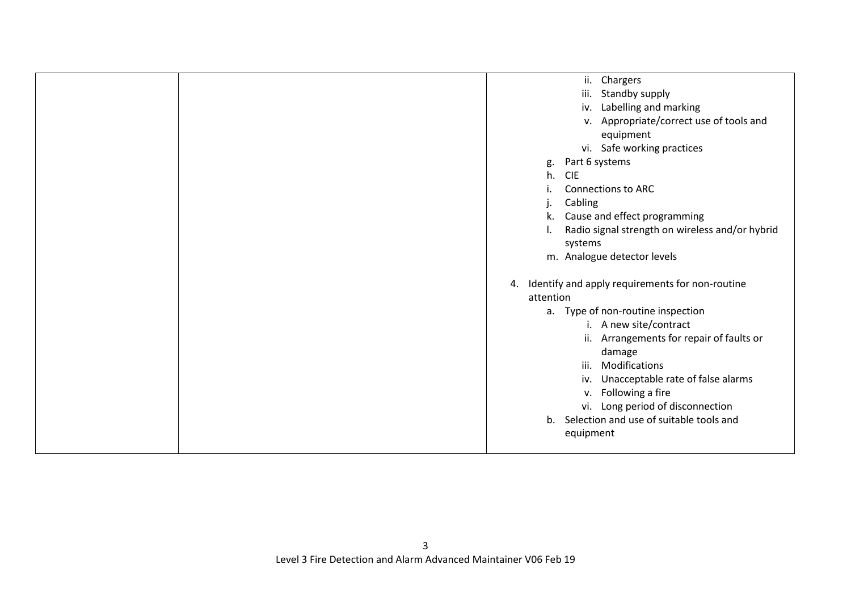| $\mathbf{ii}$ .<br>Chargers                           |
|-------------------------------------------------------|
| iii.<br>Standby supply                                |
| iv. Labelling and marking                             |
| v. Appropriate/correct use of tools and               |
| equipment                                             |
| vi. Safe working practices                            |
| Part 6 systems<br>g.                                  |
| <b>CIE</b><br>h.                                      |
| <b>Connections to ARC</b>                             |
| Cabling                                               |
| Cause and effect programming<br>k.                    |
| Radio signal strength on wireless and/or hybrid       |
| systems                                               |
| m. Analogue detector levels                           |
|                                                       |
| Identify and apply requirements for non-routine<br>4. |
| attention                                             |
| a. Type of non-routine inspection                     |
| i. A new site/contract                                |
| ii. Arrangements for repair of faults or              |
| damage                                                |
| Modifications<br>iii.                                 |
| Unacceptable rate of false alarms<br>iv.              |
| Following a fire<br>V.                                |
|                                                       |
| vi. Long period of disconnection                      |
| b. Selection and use of suitable tools and            |
| equipment                                             |
|                                                       |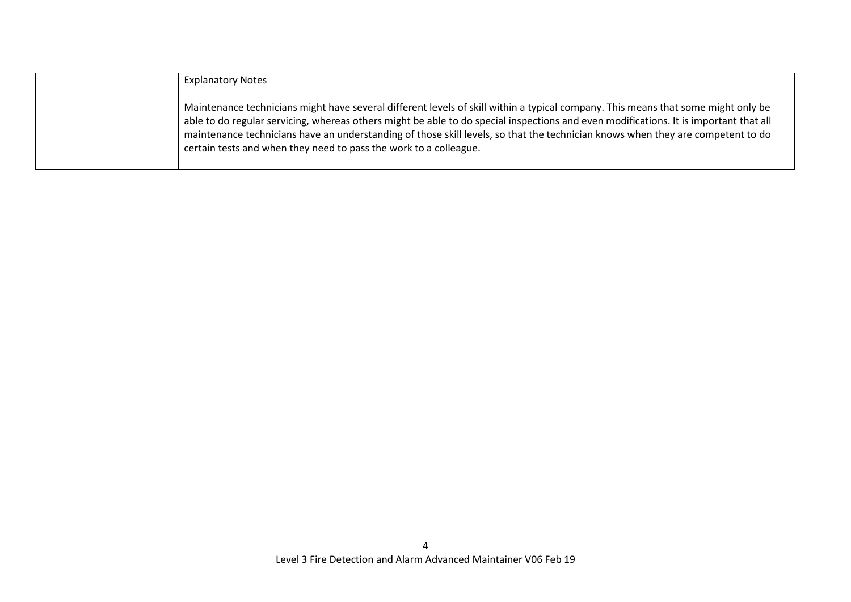| <b>Explanatory Notes</b>                                                                                                                                                                                                                                                                                                                                                                                                                                                           |
|------------------------------------------------------------------------------------------------------------------------------------------------------------------------------------------------------------------------------------------------------------------------------------------------------------------------------------------------------------------------------------------------------------------------------------------------------------------------------------|
| Maintenance technicians might have several different levels of skill within a typical company. This means that some might only be<br>able to do regular servicing, whereas others might be able to do special inspections and even modifications. It is important that all<br>maintenance technicians have an understanding of those skill levels, so that the technician knows when they are competent to do<br>certain tests and when they need to pass the work to a colleague. |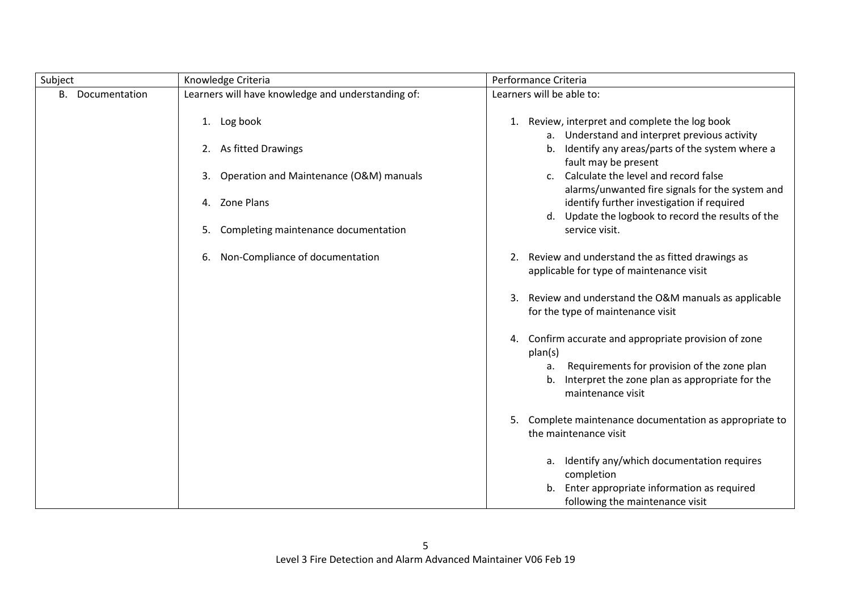| Subject             | Knowledge Criteria                                 | Performance Criteria                                                                                                           |
|---------------------|----------------------------------------------------|--------------------------------------------------------------------------------------------------------------------------------|
| В.<br>Documentation | Learners will have knowledge and understanding of: | Learners will be able to:                                                                                                      |
|                     | 1. Log book                                        | 1. Review, interpret and complete the log book<br>a. Understand and interpret previous activity                                |
|                     | 2. As fitted Drawings                              | Identify any areas/parts of the system where a<br>b.<br>fault may be present                                                   |
|                     | Operation and Maintenance (O&M) manuals<br>3.      | Calculate the level and record false<br>$\mathsf{C}$ .<br>alarms/unwanted fire signals for the system and                      |
|                     | Zone Plans<br>4.                                   | identify further investigation if required<br>d. Update the logbook to record the results of the                               |
|                     | Completing maintenance documentation<br>5.         | service visit.                                                                                                                 |
|                     | Non-Compliance of documentation<br>6.              | 2. Review and understand the as fitted drawings as<br>applicable for type of maintenance visit                                 |
|                     |                                                    | Review and understand the O&M manuals as applicable<br>3.<br>for the type of maintenance visit                                 |
|                     |                                                    | Confirm accurate and appropriate provision of zone<br>4.<br>plan(s)                                                            |
|                     |                                                    | Requirements for provision of the zone plan<br>a.<br>Interpret the zone plan as appropriate for the<br>b.<br>maintenance visit |
|                     |                                                    | 5.<br>Complete maintenance documentation as appropriate to<br>the maintenance visit                                            |
|                     |                                                    | a. Identify any/which documentation requires<br>completion                                                                     |
|                     |                                                    | b. Enter appropriate information as required<br>following the maintenance visit                                                |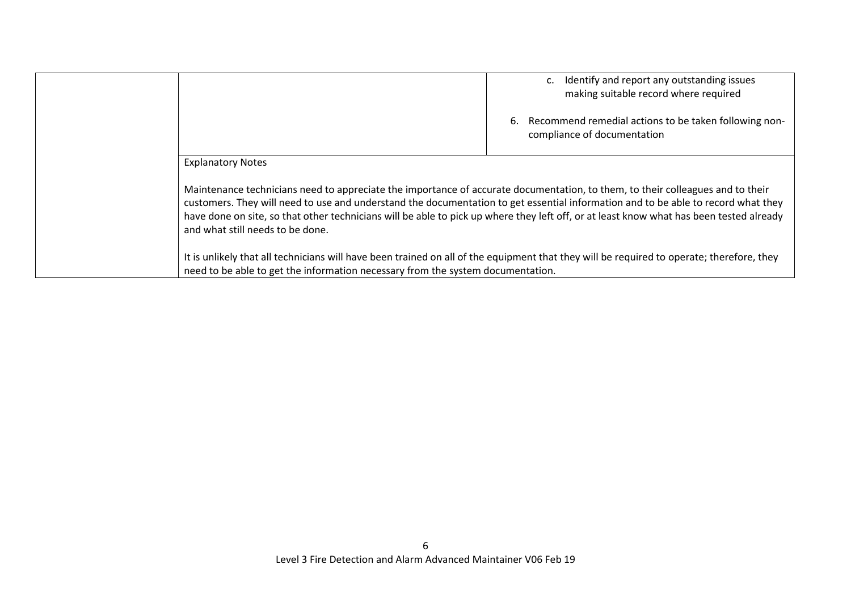|                                                                                                                                                                                                                                                                                                                                                                                                                                                    | Identify and report any outstanding issues<br>making suitable record where required        |
|----------------------------------------------------------------------------------------------------------------------------------------------------------------------------------------------------------------------------------------------------------------------------------------------------------------------------------------------------------------------------------------------------------------------------------------------------|--------------------------------------------------------------------------------------------|
|                                                                                                                                                                                                                                                                                                                                                                                                                                                    | Recommend remedial actions to be taken following non-<br>6.<br>compliance of documentation |
| <b>Explanatory Notes</b>                                                                                                                                                                                                                                                                                                                                                                                                                           |                                                                                            |
| Maintenance technicians need to appreciate the importance of accurate documentation, to them, to their colleagues and to their<br>customers. They will need to use and understand the documentation to get essential information and to be able to record what they<br>have done on site, so that other technicians will be able to pick up where they left off, or at least know what has been tested already<br>and what still needs to be done. |                                                                                            |
| It is unlikely that all technicians will have been trained on all of the equipment that they will be required to operate; therefore, they<br>need to be able to get the information necessary from the system documentation.                                                                                                                                                                                                                       |                                                                                            |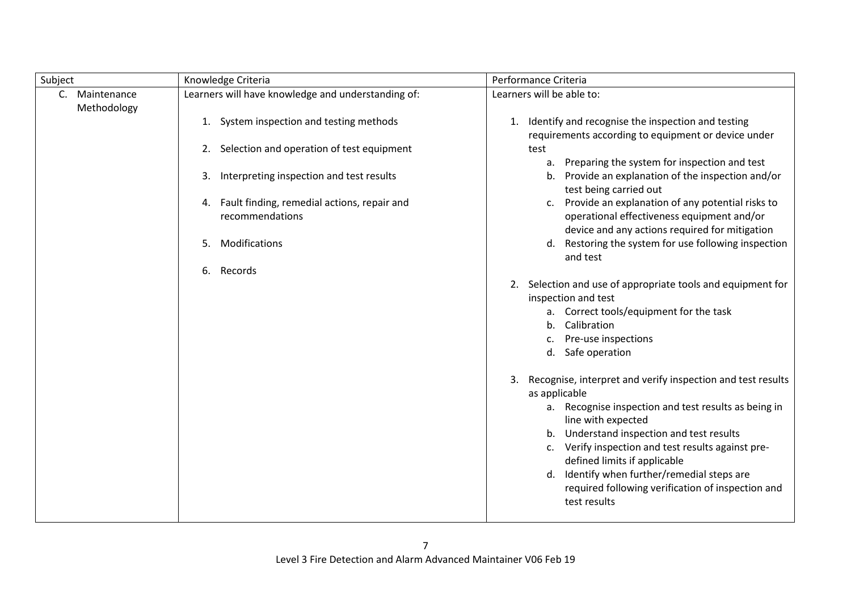| Subject                       | Knowledge Criteria                                                | Performance Criteria                                                                                                                  |
|-------------------------------|-------------------------------------------------------------------|---------------------------------------------------------------------------------------------------------------------------------------|
| C. Maintenance<br>Methodology | Learners will have knowledge and understanding of:                | Learners will be able to:                                                                                                             |
|                               | System inspection and testing methods<br>1.                       | Identify and recognise the inspection and testing<br>1.<br>requirements according to equipment or device under                        |
|                               | Selection and operation of test equipment<br>2.                   | test                                                                                                                                  |
|                               | Interpreting inspection and test results<br>3.                    | Preparing the system for inspection and test<br>a.<br>Provide an explanation of the inspection and/or<br>b.<br>test being carried out |
|                               | 4. Fault finding, remedial actions, repair and<br>recommendations | Provide an explanation of any potential risks to<br>c.<br>operational effectiveness equipment and/or                                  |
|                               | Modifications<br>5.                                               | device and any actions required for mitigation<br>Restoring the system for use following inspection<br>d.<br>and test                 |
|                               | 6. Records                                                        |                                                                                                                                       |
|                               |                                                                   | 2. Selection and use of appropriate tools and equipment for<br>inspection and test                                                    |
|                               |                                                                   | a. Correct tools/equipment for the task                                                                                               |
|                               |                                                                   | Calibration<br>b.                                                                                                                     |
|                               |                                                                   | Pre-use inspections<br>c.                                                                                                             |
|                               |                                                                   | Safe operation<br>d.                                                                                                                  |
|                               |                                                                   | Recognise, interpret and verify inspection and test results<br>3.<br>as applicable                                                    |
|                               |                                                                   | a. Recognise inspection and test results as being in<br>line with expected                                                            |
|                               |                                                                   | b. Understand inspection and test results                                                                                             |
|                               |                                                                   | Verify inspection and test results against pre-<br>c.                                                                                 |
|                               |                                                                   | defined limits if applicable                                                                                                          |
|                               |                                                                   | d. Identify when further/remedial steps are                                                                                           |
|                               |                                                                   | required following verification of inspection and<br>test results                                                                     |
|                               |                                                                   |                                                                                                                                       |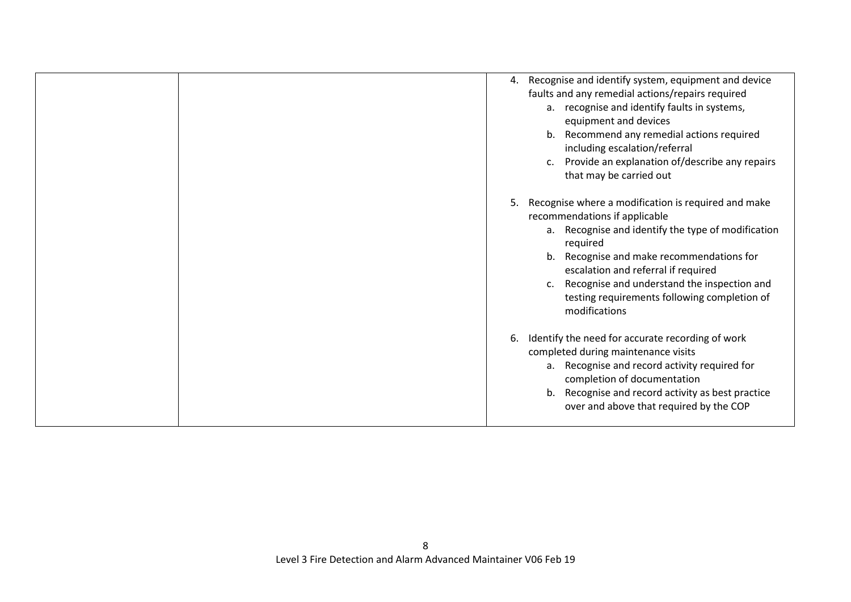| 4. Recognise and identify system, equipment and device<br>faults and any remedial actions/repairs required<br>a. recognise and identify faults in systems,<br>equipment and devices<br>Recommend any remedial actions required<br>b <sub>1</sub><br>including escalation/referral<br>c. Provide an explanation of/describe any repairs<br>that may be carried out |
|-------------------------------------------------------------------------------------------------------------------------------------------------------------------------------------------------------------------------------------------------------------------------------------------------------------------------------------------------------------------|
| Recognise where a modification is required and make<br>5.<br>recommendations if applicable<br>a. Recognise and identify the type of modification<br>required<br>b. Recognise and make recommendations for<br>escalation and referral if required<br>Recognise and understand the inspection and<br>testing requirements following completion of<br>modifications  |
| Identify the need for accurate recording of work<br>6.<br>completed during maintenance visits<br>a. Recognise and record activity required for<br>completion of documentation<br>b. Recognise and record activity as best practice<br>over and above that required by the COP                                                                                     |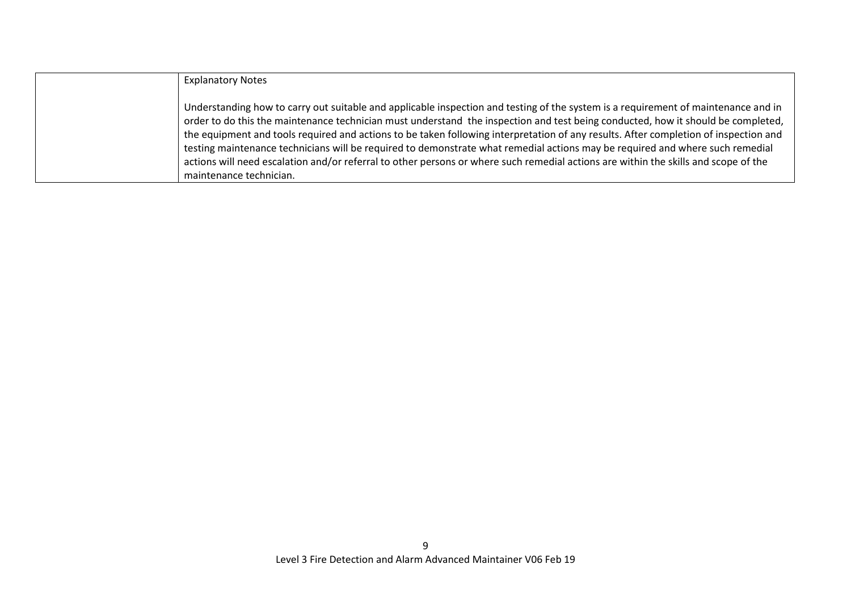| <b>Explanatory Notes</b>                                                                                                                                                                                                                                                                                                                                                                                                                                                                                                                                                                                                                                                                                          |
|-------------------------------------------------------------------------------------------------------------------------------------------------------------------------------------------------------------------------------------------------------------------------------------------------------------------------------------------------------------------------------------------------------------------------------------------------------------------------------------------------------------------------------------------------------------------------------------------------------------------------------------------------------------------------------------------------------------------|
| Understanding how to carry out suitable and applicable inspection and testing of the system is a requirement of maintenance and in<br>order to do this the maintenance technician must understand the inspection and test being conducted, how it should be completed,<br>the equipment and tools required and actions to be taken following interpretation of any results. After completion of inspection and<br>testing maintenance technicians will be required to demonstrate what remedial actions may be required and where such remedial<br>actions will need escalation and/or referral to other persons or where such remedial actions are within the skills and scope of the<br>maintenance technician. |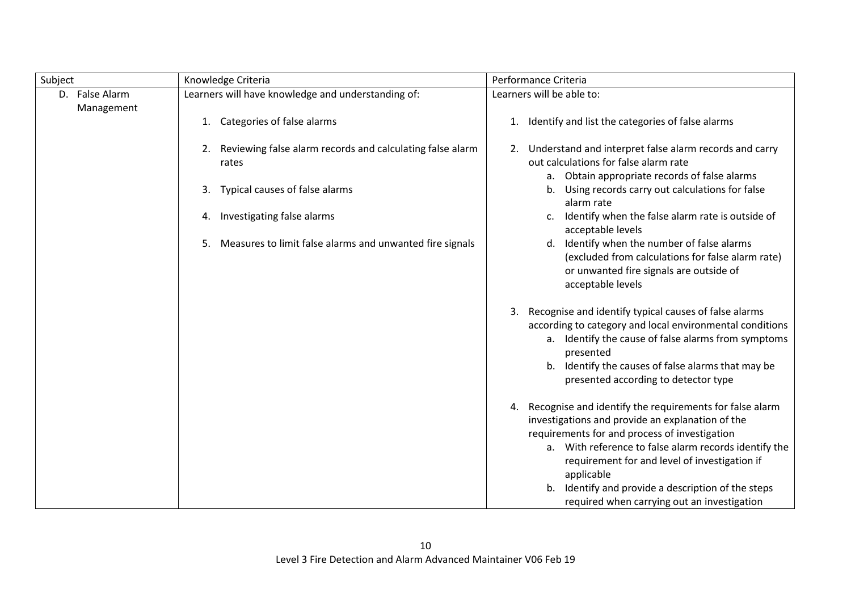| Subject                      | Knowledge Criteria                                                       | Performance Criteria                                                                                                                                                                                                                                                                                                                                                                            |
|------------------------------|--------------------------------------------------------------------------|-------------------------------------------------------------------------------------------------------------------------------------------------------------------------------------------------------------------------------------------------------------------------------------------------------------------------------------------------------------------------------------------------|
| D. False Alarm<br>Management | Learners will have knowledge and understanding of:                       | Learners will be able to:                                                                                                                                                                                                                                                                                                                                                                       |
|                              | Categories of false alarms<br>1.                                         | Identify and list the categories of false alarms<br>1.                                                                                                                                                                                                                                                                                                                                          |
|                              | Reviewing false alarm records and calculating false alarm<br>2.<br>rates | Understand and interpret false alarm records and carry<br>2.<br>out calculations for false alarm rate<br>a. Obtain appropriate records of false alarms                                                                                                                                                                                                                                          |
|                              | Typical causes of false alarms<br>3.                                     | Using records carry out calculations for false<br>b.<br>alarm rate                                                                                                                                                                                                                                                                                                                              |
|                              | Investigating false alarms<br>4.                                         | Identify when the false alarm rate is outside of<br>c.<br>acceptable levels                                                                                                                                                                                                                                                                                                                     |
|                              | Measures to limit false alarms and unwanted fire signals<br>5.           | Identify when the number of false alarms<br>d.<br>(excluded from calculations for false alarm rate)<br>or unwanted fire signals are outside of<br>acceptable levels                                                                                                                                                                                                                             |
|                              |                                                                          | Recognise and identify typical causes of false alarms<br>3.<br>according to category and local environmental conditions<br>a. Identify the cause of false alarms from symptoms<br>presented<br>b. Identify the causes of false alarms that may be<br>presented according to detector type                                                                                                       |
|                              |                                                                          | Recognise and identify the requirements for false alarm<br>4.<br>investigations and provide an explanation of the<br>requirements for and process of investigation<br>a. With reference to false alarm records identify the<br>requirement for and level of investigation if<br>applicable<br>b. Identify and provide a description of the steps<br>required when carrying out an investigation |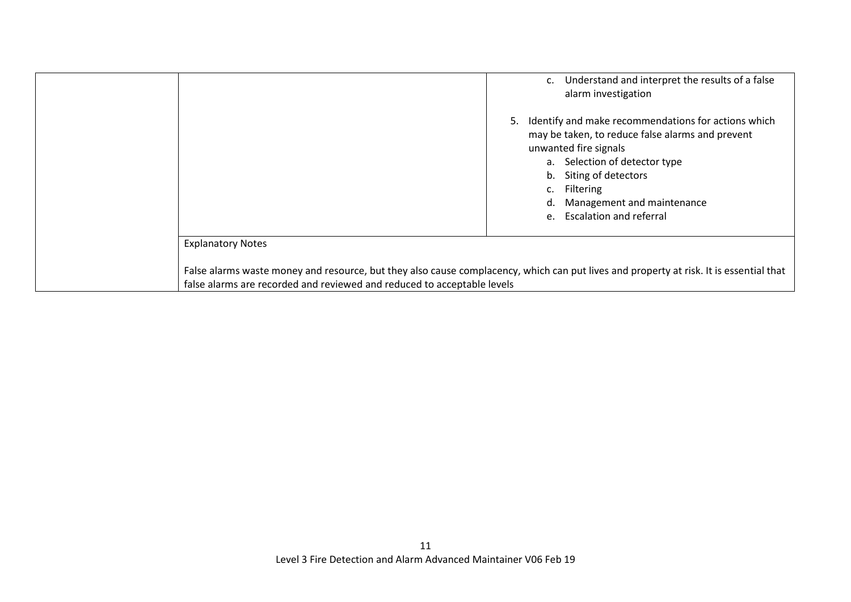| Understand and interpret the results of a false<br>$C_{\star}$<br>alarm investigation                                                                                                                                                                                               |
|-------------------------------------------------------------------------------------------------------------------------------------------------------------------------------------------------------------------------------------------------------------------------------------|
| Identify and make recommendations for actions which<br>5.<br>may be taken, to reduce false alarms and prevent<br>unwanted fire signals<br>a. Selection of detector type<br>b. Siting of detectors<br>c. Filtering<br>Management and maintenance<br>d.<br>e. Escalation and referral |
| <b>Explanatory Notes</b>                                                                                                                                                                                                                                                            |
| False alarms waste money and resource, but they also cause complacency, which can put lives and property at risk. It is essential that<br>false alarms are recorded and reviewed and reduced to acceptable levels                                                                   |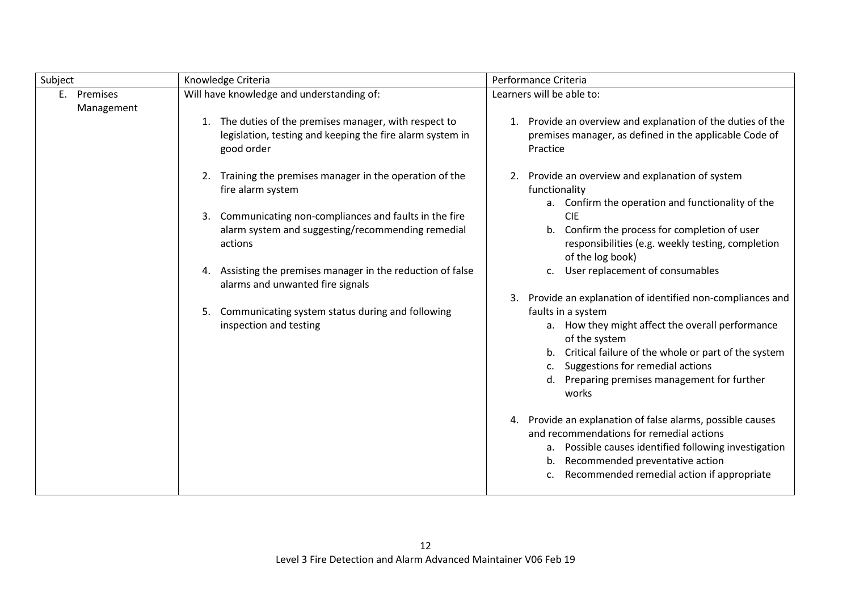| Subject                   | Knowledge Criteria                                                                                                                | Performance Criteria                                                                                                                                                                                                                                   |
|---------------------------|-----------------------------------------------------------------------------------------------------------------------------------|--------------------------------------------------------------------------------------------------------------------------------------------------------------------------------------------------------------------------------------------------------|
| E. Premises<br>Management | Will have knowledge and understanding of:                                                                                         | Learners will be able to:                                                                                                                                                                                                                              |
|                           | 1. The duties of the premises manager, with respect to<br>legislation, testing and keeping the fire alarm system in<br>good order | 1. Provide an overview and explanation of the duties of the<br>premises manager, as defined in the applicable Code of<br>Practice                                                                                                                      |
|                           | Training the premises manager in the operation of the<br>2.<br>fire alarm system                                                  | Provide an overview and explanation of system<br>2.<br>functionality                                                                                                                                                                                   |
|                           | 3. Communicating non-compliances and faults in the fire<br>alarm system and suggesting/recommending remedial<br>actions           | a. Confirm the operation and functionality of the<br><b>CIE</b><br>b. Confirm the process for completion of user<br>responsibilities (e.g. weekly testing, completion<br>of the log book)                                                              |
|                           | 4. Assisting the premises manager in the reduction of false<br>alarms and unwanted fire signals                                   | User replacement of consumables<br>$\mathsf{C}$ .                                                                                                                                                                                                      |
|                           | Communicating system status during and following<br>5.                                                                            | Provide an explanation of identified non-compliances and<br>faults in a system                                                                                                                                                                         |
|                           | inspection and testing                                                                                                            | a. How they might affect the overall performance<br>of the system<br>Critical failure of the whole or part of the system<br>b.                                                                                                                         |
|                           |                                                                                                                                   | Suggestions for remedial actions<br>c.<br>Preparing premises management for further<br>d.<br>works                                                                                                                                                     |
|                           |                                                                                                                                   | 4. Provide an explanation of false alarms, possible causes<br>and recommendations for remedial actions<br>a. Possible causes identified following investigation<br>Recommended preventative action<br>b.<br>Recommended remedial action if appropriate |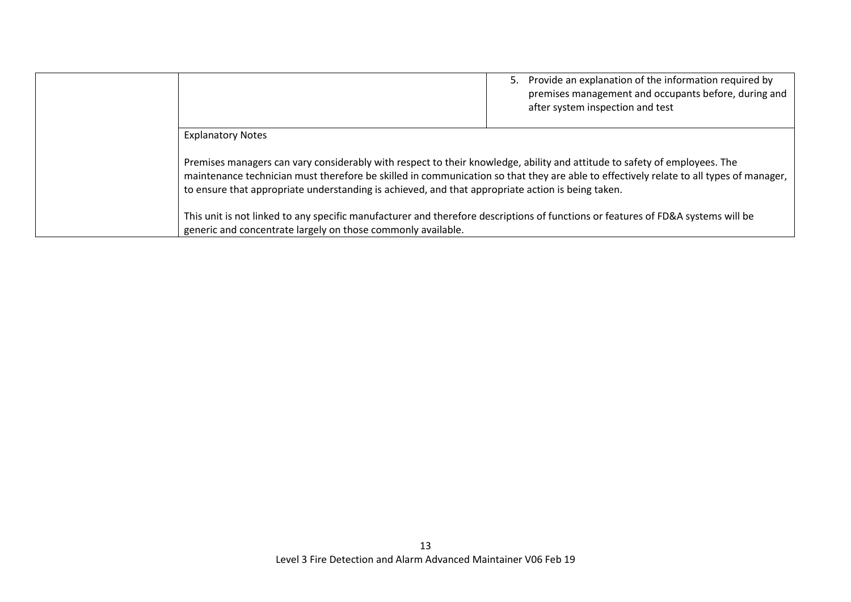|                                                                                                                                                                                                                                | Provide an explanation of the information required by<br>5.<br>premises management and occupants before, during and<br>after system inspection and test |
|--------------------------------------------------------------------------------------------------------------------------------------------------------------------------------------------------------------------------------|---------------------------------------------------------------------------------------------------------------------------------------------------------|
| <b>Explanatory Notes</b>                                                                                                                                                                                                       |                                                                                                                                                         |
| Premises managers can vary considerably with respect to their knowledge, ability and attitude to safety of employees. The<br>to ensure that appropriate understanding is achieved, and that appropriate action is being taken. | maintenance technician must therefore be skilled in communication so that they are able to effectively relate to all types of manager,                  |
| This unit is not linked to any specific manufacturer and therefore descriptions of functions or features of FD&A systems will be<br>generic and concentrate largely on those commonly available.                               |                                                                                                                                                         |